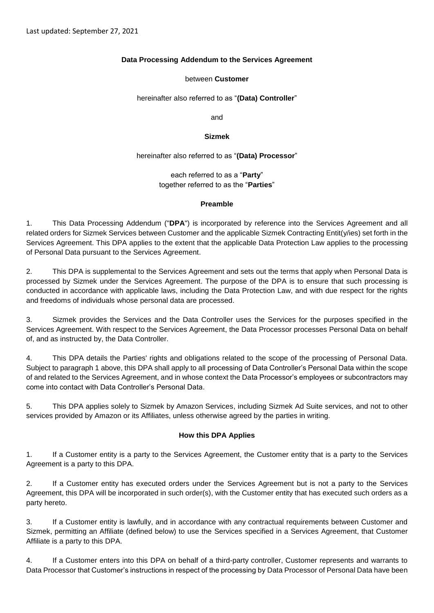# **Data Processing Addendum to the Services Agreement**

# between **Customer**

hereinafter also referred to as "**(Data) Controller**"

and

## **Sizmek**

# hereinafter also referred to as "**(Data) Processor**"

each referred to as a "**Party**" together referred to as the "**Parties**"

## **Preamble**

1. This Data Processing Addendum ("**DPA**") is incorporated by reference into the Services Agreement and all related orders for Sizmek Services between Customer and the applicable Sizmek Contracting Entit(y/ies) set forth in the Services Agreement. This DPA applies to the extent that the applicable Data Protection Law applies to the processing of Personal Data pursuant to the Services Agreement.

2. This DPA is supplemental to the Services Agreement and sets out the terms that apply when Personal Data is processed by Sizmek under the Services Agreement. The purpose of the DPA is to ensure that such processing is conducted in accordance with applicable laws, including the Data Protection Law, and with due respect for the rights and freedoms of individuals whose personal data are processed.

3. Sizmek provides the Services and the Data Controller uses the Services for the purposes specified in the Services Agreement. With respect to the Services Agreement, the Data Processor processes Personal Data on behalf of, and as instructed by, the Data Controller.

4. This DPA details the Parties' rights and obligations related to the scope of the processing of Personal Data. Subject to paragraph 1 above, this DPA shall apply to all processing of Data Controller's Personal Data within the scope of and related to the Services Agreement, and in whose context the Data Processor's employees or subcontractors may come into contact with Data Controller's Personal Data.

5. This DPA applies solely to Sizmek by Amazon Services, including Sizmek Ad Suite services, and not to other services provided by Amazon or its Affiliates, unless otherwise agreed by the parties in writing.

# **How this DPA Applies**

1. If a Customer entity is a party to the Services Agreement, the Customer entity that is a party to the Services Agreement is a party to this DPA.

2. If a Customer entity has executed orders under the Services Agreement but is not a party to the Services Agreement, this DPA will be incorporated in such order(s), with the Customer entity that has executed such orders as a party hereto.

3. If a Customer entity is lawfully, and in accordance with any contractual requirements between Customer and Sizmek, permitting an Affiliate (defined below) to use the Services specified in a Services Agreement, that Customer Affiliate is a party to this DPA.

4. If a Customer enters into this DPA on behalf of a third-party controller, Customer represents and warrants to Data Processor that Customer's instructions in respect of the processing by Data Processor of Personal Data have been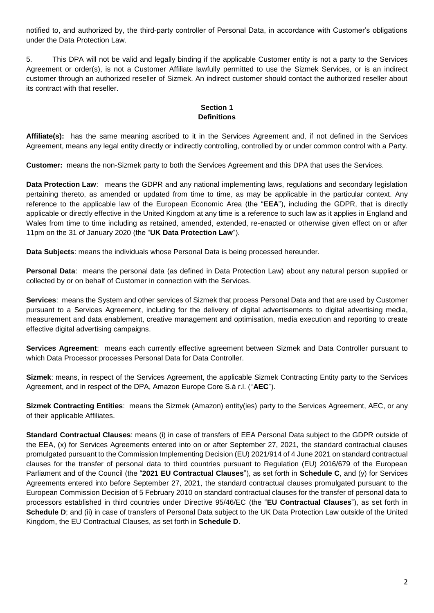notified to, and authorized by, the third-party controller of Personal Data, in accordance with Customer's obligations under the Data Protection Law.

5. This DPA will not be valid and legally binding if the applicable Customer entity is not a party to the Services Agreement or order(s), is not a Customer Affiliate lawfully permitted to use the Sizmek Services, or is an indirect customer through an authorized reseller of Sizmek. An indirect customer should contact the authorized reseller about its contract with that reseller.

# **Section 1 Definitions**

**Affiliate(s):** has the same meaning ascribed to it in the Services Agreement and, if not defined in the Services Agreement, means any legal entity directly or indirectly controlling, controlled by or under common control with a Party.

**Customer:** means the non-Sizmek party to both the Services Agreement and this DPA that uses the Services.

**Data Protection Law**: means the GDPR and any national implementing laws, regulations and secondary legislation pertaining thereto, as amended or updated from time to time, as may be applicable in the particular context. Any reference to the applicable law of the European Economic Area (the "**EEA**"), including the GDPR, that is directly applicable or directly effective in the United Kingdom at any time is a reference to such law as it applies in England and Wales from time to time including as retained, amended, extended, re-enacted or otherwise given effect on or after 11pm on the 31 of January 2020 (the "**UK Data Protection Law**").

**Data Subjects**: means the individuals whose Personal Data is being processed hereunder.

**Personal Data**: means the personal data (as defined in Data Protection Law) about any natural person supplied or collected by or on behalf of Customer in connection with the Services.

**Services**: means the System and other services of Sizmek that process Personal Data and that are used by Customer pursuant to a Services Agreement, including for the delivery of digital advertisements to digital advertising media, measurement and data enablement, creative management and optimisation, media execution and reporting to create effective digital advertising campaigns.

**Services Agreement**: means each currently effective agreement between Sizmek and Data Controller pursuant to which Data Processor processes Personal Data for Data Controller.

**Sizmek**: means, in respect of the Services Agreement, the applicable Sizmek Contracting Entity party to the Services Agreement, and in respect of the DPA, Amazon Europe Core S.à r.l. ("**AEC**").

**Sizmek Contracting Entities**: means the Sizmek (Amazon) entity(ies) party to the Services Agreement, AEC, or any of their applicable Affiliates.

**Standard Contractual Clauses**: means (i) in case of transfers of EEA Personal Data subject to the GDPR outside of the EEA, (x) for Services Agreements entered into on or after September 27, 2021, the standard contractual clauses promulgated pursuant to the Commission Implementing Decision (EU) 2021/914 of 4 June 2021 on standard contractual clauses for the transfer of personal data to third countries pursuant to Regulation (EU) 2016/679 of the European Parliament and of the Council (the "**2021 EU Contractual Clauses**"), as set forth in **Schedule C**, and (y) for Services Agreements entered into before September 27, 2021, the standard contractual clauses promulgated pursuant to the European Commission Decision of 5 February 2010 on standard contractual clauses for the transfer of personal data to processors established in third countries under Directive 95/46/EC (the "**EU Contractual Clauses**"), as set forth in **Schedule D**; and (ii) in case of transfers of Personal Data subject to the UK Data Protection Law outside of the United Kingdom, the EU Contractual Clauses, as set forth in **Schedule D**.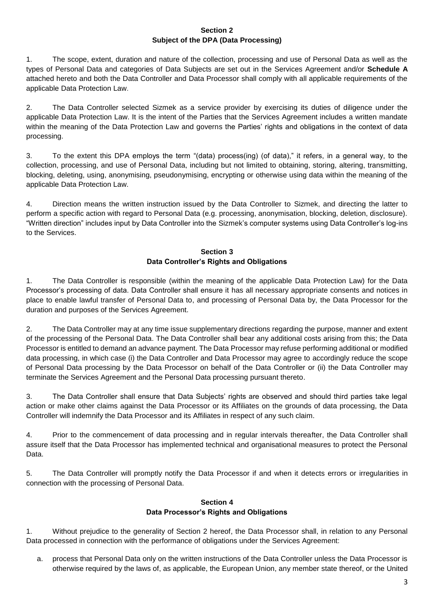## **Section 2 Subject of the DPA (Data Processing)**

1. The scope, extent, duration and nature of the collection, processing and use of Personal Data as well as the types of Personal Data and categories of Data Subjects are set out in the Services Agreement and/or **Schedule A** attached hereto and both the Data Controller and Data Processor shall comply with all applicable requirements of the applicable Data Protection Law.

2. The Data Controller selected Sizmek as a service provider by exercising its duties of diligence under the applicable Data Protection Law. It is the intent of the Parties that the Services Agreement includes a written mandate within the meaning of the Data Protection Law and governs the Parties' rights and obligations in the context of data processing.

3. To the extent this DPA employs the term "(data) process(ing) (of data)," it refers, in a general way, to the collection, processing, and use of Personal Data, including but not limited to obtaining, storing, altering, transmitting, blocking, deleting, using, anonymising, pseudonymising, encrypting or otherwise using data within the meaning of the applicable Data Protection Law.

4. Direction means the written instruction issued by the Data Controller to Sizmek, and directing the latter to perform a specific action with regard to Personal Data (e.g. processing, anonymisation, blocking, deletion, disclosure). "Written direction" includes input by Data Controller into the Sizmek's computer systems using Data Controller's log-ins to the Services.

# **Section 3 Data Controller's Rights and Obligations**

1. The Data Controller is responsible (within the meaning of the applicable Data Protection Law) for the Data Processor's processing of data. Data Controller shall ensure it has all necessary appropriate consents and notices in place to enable lawful transfer of Personal Data to, and processing of Personal Data by, the Data Processor for the duration and purposes of the Services Agreement.

2. The Data Controller may at any time issue supplementary directions regarding the purpose, manner and extent of the processing of the Personal Data. The Data Controller shall bear any additional costs arising from this; the Data Processor is entitled to demand an advance payment. The Data Processor may refuse performing additional or modified data processing, in which case (i) the Data Controller and Data Processor may agree to accordingly reduce the scope of Personal Data processing by the Data Processor on behalf of the Data Controller or (ii) the Data Controller may terminate the Services Agreement and the Personal Data processing pursuant thereto.

3. The Data Controller shall ensure that Data Subjects' rights are observed and should third parties take legal action or make other claims against the Data Processor or its Affiliates on the grounds of data processing, the Data Controller will indemnify the Data Processor and its Affiliates in respect of any such claim.

4. Prior to the commencement of data processing and in regular intervals thereafter, the Data Controller shall assure itself that the Data Processor has implemented technical and organisational measures to protect the Personal Data.

5. The Data Controller will promptly notify the Data Processor if and when it detects errors or irregularities in connection with the processing of Personal Data.

# **Section 4 Data Processor's Rights and Obligations**

1. Without prejudice to the generality of Section 2 hereof, the Data Processor shall, in relation to any Personal Data processed in connection with the performance of obligations under the Services Agreement:

a. process that Personal Data only on the written instructions of the Data Controller unless the Data Processor is otherwise required by the laws of, as applicable, the European Union, any member state thereof, or the United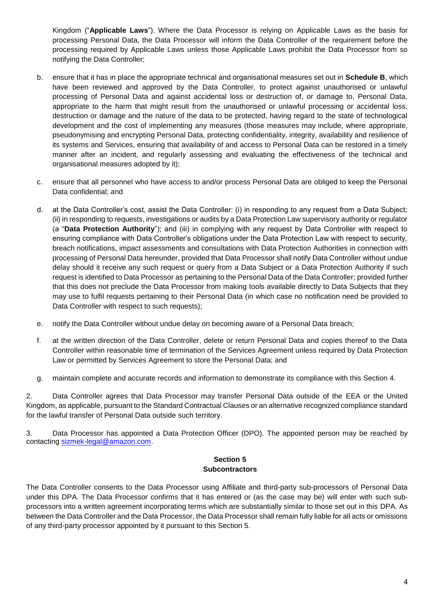Kingdom ("**Applicable Laws**"). Where the Data Processor is relying on Applicable Laws as the basis for processing Personal Data, the Data Processor will inform the Data Controller of the requirement before the processing required by Applicable Laws unless those Applicable Laws prohibit the Data Processor from so notifying the Data Controller;

- b. ensure that it has in place the appropriate technical and organisational measures set out in **Schedule B**, which have been reviewed and approved by the Data Controller, to protect against unauthorised or unlawful processing of Personal Data and against accidental loss or destruction of, or damage to, Personal Data, appropriate to the harm that might result from the unauthorised or unlawful processing or accidental loss, destruction or damage and the nature of the data to be protected, having regard to the state of technological development and the cost of implementing any measures (those measures may include, where appropriate, pseudonymising and encrypting Personal Data, protecting confidentiality, integrity, availability and resilience of its systems and Services, ensuring that availability of and access to Personal Data can be restored in a timely manner after an incident, and regularly assessing and evaluating the effectiveness of the technical and organisational measures adopted by it);
- c. ensure that all personnel who have access to and/or process Personal Data are obliged to keep the Personal Data confidential; and
- d. at the Data Controller's cost, assist the Data Controller: (i) in responding to any request from a Data Subject; (ii) in responding to requests, investigations or audits by a Data Protection Law supervisory authority or regulator (a "**Data Protection Authority**"); and (iii) in complying with any request by Data Controller with respect to ensuring compliance with Data Controller's obligations under the Data Protection Law with respect to security, breach notifications, impact assessments and consultations with Data Protection Authorities in connection with processing of Personal Data hereunder, provided that Data Processor shall notify Data Controller without undue delay should it receive any such request or query from a Data Subject or a Data Protection Authority if such request is identified to Data Processor as pertaining to the Personal Data of the Data Controller; provided further that this does not preclude the Data Processor from making tools available directly to Data Subjects that they may use to fulfil requests pertaining to their Personal Data (in which case no notification need be provided to Data Controller with respect to such requests);
- e. notify the Data Controller without undue delay on becoming aware of a Personal Data breach;
- f. at the written direction of the Data Controller, delete or return Personal Data and copies thereof to the Data Controller within reasonable time of termination of the Services Agreement unless required by Data Protection Law or permitted by Services Agreement to store the Personal Data; and
- g. maintain complete and accurate records and information to demonstrate its compliance with this Section 4.

2. Data Controller agrees that Data Processor may transfer Personal Data outside of the EEA or the United Kingdom, as applicable, pursuant to the Standard Contractual Clauses or an alternative recognized compliance standard for the lawful transfer of Personal Data outside such territory.

3. Data Processor has appointed a Data Protection Officer (DPO). The appointed person may be reached by contacting [sizmek-legal@amazon.com.](mailto:sizmek-legal@amazon.com)

# **Section 5 Subcontractors**

The Data Controller consents to the Data Processor using Affiliate and third-party sub-processors of Personal Data under this DPA. The Data Processor confirms that it has entered or (as the case may be) will enter with such subprocessors into a written agreement incorporating terms which are substantially similar to those set out in this DPA. As between the Data Controller and the Data Processor, the Data Processor shall remain fully liable for all acts or omissions of any third-party processor appointed by it pursuant to this Section 5.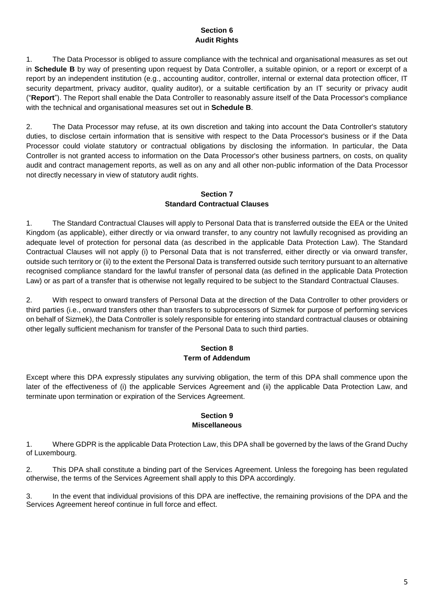# **Section 6 Audit Rights**

1. The Data Processor is obliged to assure compliance with the technical and organisational measures as set out in **Schedule B** by way of presenting upon request by Data Controller, a suitable opinion, or a report or excerpt of a report by an independent institution (e.g., accounting auditor, controller, internal or external data protection officer, IT security department, privacy auditor, quality auditor), or a suitable certification by an IT security or privacy audit ("**Report**"). The Report shall enable the Data Controller to reasonably assure itself of the Data Processor's compliance with the technical and organisational measures set out in **Schedule B**.

2. The Data Processor may refuse, at its own discretion and taking into account the Data Controller's statutory duties, to disclose certain information that is sensitive with respect to the Data Processor's business or if the Data Processor could violate statutory or contractual obligations by disclosing the information. In particular, the Data Controller is not granted access to information on the Data Processor's other business partners, on costs, on quality audit and contract management reports, as well as on any and all other non-public information of the Data Processor not directly necessary in view of statutory audit rights.

# **Section 7 Standard Contractual Clauses**

1. The Standard Contractual Clauses will apply to Personal Data that is transferred outside the EEA or the United Kingdom (as applicable), either directly or via onward transfer, to any country not lawfully recognised as providing an adequate level of protection for personal data (as described in the applicable Data Protection Law). The Standard Contractual Clauses will not apply (i) to Personal Data that is not transferred, either directly or via onward transfer, outside such territory or (ii) to the extent the Personal Data is transferred outside such territory pursuant to an alternative recognised compliance standard for the lawful transfer of personal data (as defined in the applicable Data Protection Law) or as part of a transfer that is otherwise not legally required to be subject to the Standard Contractual Clauses.

2. With respect to onward transfers of Personal Data at the direction of the Data Controller to other providers or third parties (i.e., onward transfers other than transfers to subprocessors of Sizmek for purpose of performing services on behalf of Sizmek), the Data Controller is solely responsible for entering into standard contractual clauses or obtaining other legally sufficient mechanism for transfer of the Personal Data to such third parties.

# **Section 8 Term of Addendum**

Except where this DPA expressly stipulates any surviving obligation, the term of this DPA shall commence upon the later of the effectiveness of (i) the applicable Services Agreement and (ii) the applicable Data Protection Law, and terminate upon termination or expiration of the Services Agreement.

# **Section 9 Miscellaneous**

1. Where GDPR is the applicable Data Protection Law, this DPA shall be governed by the laws of the Grand Duchy of Luxembourg.

2. This DPA shall constitute a binding part of the Services Agreement. Unless the foregoing has been regulated otherwise, the terms of the Services Agreement shall apply to this DPA accordingly.

3. In the event that individual provisions of this DPA are ineffective, the remaining provisions of the DPA and the Services Agreement hereof continue in full force and effect.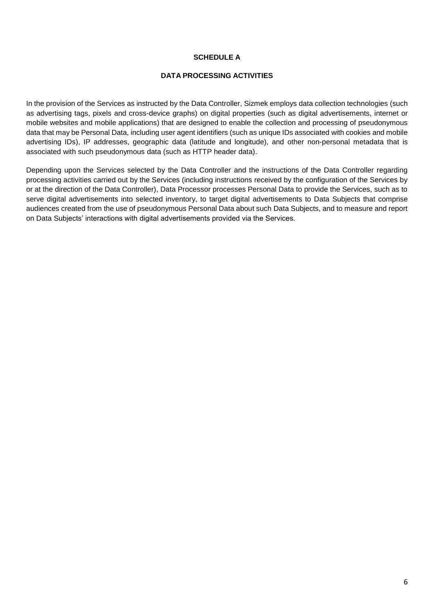# **SCHEDULE A**

## **DATA PROCESSING ACTIVITIES**

In the provision of the Services as instructed by the Data Controller, Sizmek employs data collection technologies (such as advertising tags, pixels and cross-device graphs) on digital properties (such as digital advertisements, internet or mobile websites and mobile applications) that are designed to enable the collection and processing of pseudonymous data that may be Personal Data, including user agent identifiers (such as unique IDs associated with cookies and mobile advertising IDs), IP addresses, geographic data (latitude and longitude), and other non-personal metadata that is associated with such pseudonymous data (such as HTTP header data).

Depending upon the Services selected by the Data Controller and the instructions of the Data Controller regarding processing activities carried out by the Services (including instructions received by the configuration of the Services by or at the direction of the Data Controller), Data Processor processes Personal Data to provide the Services, such as to serve digital advertisements into selected inventory, to target digital advertisements to Data Subjects that comprise audiences created from the use of pseudonymous Personal Data about such Data Subjects, and to measure and report on Data Subjects' interactions with digital advertisements provided via the Services.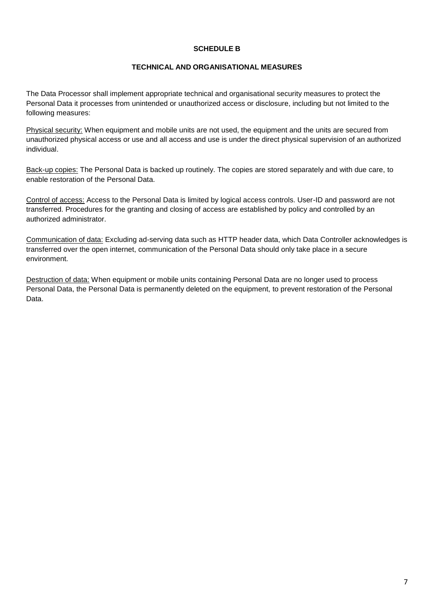# **SCHEDULE B**

### **TECHNICAL AND ORGANISATIONAL MEASURES**

The Data Processor shall implement appropriate technical and organisational security measures to protect the Personal Data it processes from unintended or unauthorized access or disclosure, including but not limited to the following measures:

Physical security: When equipment and mobile units are not used, the equipment and the units are secured from unauthorized physical access or use and all access and use is under the direct physical supervision of an authorized individual.

Back-up copies: The Personal Data is backed up routinely. The copies are stored separately and with due care, to enable restoration of the Personal Data.

Control of access: Access to the Personal Data is limited by logical access controls. User-ID and password are not transferred. Procedures for the granting and closing of access are established by policy and controlled by an authorized administrator.

Communication of data: Excluding ad-serving data such as HTTP header data, which Data Controller acknowledges is transferred over the open internet, communication of the Personal Data should only take place in a secure environment.

Destruction of data: When equipment or mobile units containing Personal Data are no longer used to process Personal Data, the Personal Data is permanently deleted on the equipment, to prevent restoration of the Personal Data.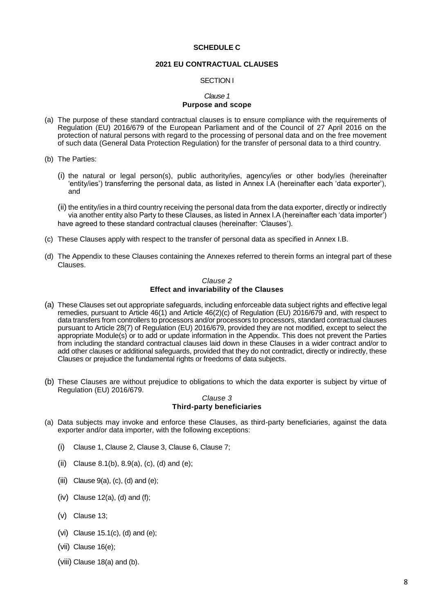### **SCHEDULE C**

#### **2021 EU CONTRACTUAL CLAUSES**

### SECTION I

### *Clause 1*

## **Purpose and scope**

- (a) The purpose of these standard contractual clauses is to ensure compliance with the requirements of Regulation (EU) 2016/679 of the European Parliament and of the Council of 27 April 2016 on the protection of natural persons with regard to the processing of personal data and on the free movement of such data (General Data Protection Regulation) for the transfer of personal data to a third country.
- (b) The Parties:
	- (i) the natural or legal person(s), public authority/ies, agency/ies or other body/ies (hereinafter 'entity/ies') transferring the personal data, as listed in Annex I.A (hereinafter each 'data exporter'), and
	- (ii) the entity/ies in a third country receiving the personal data from the data exporter, directly or indirectly via another entity also Party to these Clauses, as listed in Annex I.A (hereinafter each 'data importer') have agreed to these standard contractual clauses (hereinafter: 'Clauses').
- (c) These Clauses apply with respect to the transfer of personal data as specified in Annex I.B.
- (d) The Appendix to these Clauses containing the Annexes referred to therein forms an integral part of these Clauses.

#### *Clause 2* **Effect and invariability of the Clauses**

- (a) These Clauses set out appropriate safeguards, including enforceable data subject rights and effective legal remedies, pursuant to Article 46(1) and Article 46(2)(c) of Regulation (EU) 2016/679 and, with respect to data transfers from controllers to processors and/or processors to processors, standard contractual clauses pursuant to Article 28(7) of Regulation (EU) 2016/679, provided they are not modified, except to select the appropriate Module(s) or to add or update information in the Appendix. This does not prevent the Parties from including the standard contractual clauses laid down in these Clauses in a wider contract and/or to add other clauses or additional safeguards, provided that they do not contradict, directly or indirectly, these Clauses or prejudice the fundamental rights or freedoms of data subjects.
- (b) These Clauses are without prejudice to obligations to which the data exporter is subject by virtue of Regulation (EU) 2016/679.

#### *Clause 3* **Third-party beneficiaries**

- (a) Data subjects may invoke and enforce these Clauses, as third-party beneficiaries, against the data exporter and/or data importer, with the following exceptions:
	- (i) Clause 1, Clause 2, Clause 3, Clause 6, Clause 7;
	- (ii) Clause  $8.1(b)$ ,  $8.9(a)$ ,  $(c)$ ,  $(d)$  and  $(e)$ ;
	- (iii) Clause  $9(a)$ , (c), (d) and (e);
	- $(iv)$  Clause 12(a), (d) and (f);
	- (v) Clause 13;
	- (vi) Clause 15.1(c), (d) and (e);
	- (vii) Clause 16(e);
	- (viii) Clause 18(a) and (b).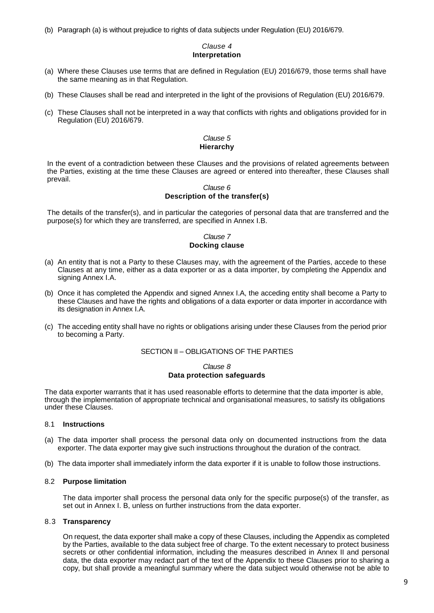(b) Paragraph (a) is without prejudice to rights of data subjects under Regulation (EU) 2016/679.

### *Clause 4* **Interpretation**

- (a) Where these Clauses use terms that are defined in Regulation (EU) 2016/679, those terms shall have the same meaning as in that Regulation.
- (b) These Clauses shall be read and interpreted in the light of the provisions of Regulation (EU) 2016/679.
- (c) These Clauses shall not be interpreted in a way that conflicts with rights and obligations provided for in Regulation (EU) 2016/679.

### *Clause 5* **Hierarchy**

In the event of a contradiction between these Clauses and the provisions of related agreements between the Parties, existing at the time these Clauses are agreed or entered into thereafter, these Clauses shall prevail.

#### *Clause 6* **Description of the transfer(s)**

The details of the transfer(s), and in particular the categories of personal data that are transferred and the purpose(s) for which they are transferred, are specified in Annex I.B.

### *Clause 7* **Docking clause**

- (a) An entity that is not a Party to these Clauses may, with the agreement of the Parties, accede to these Clauses at any time, either as a data exporter or as a data importer, by completing the Appendix and signing Annex I.A.
- (b) Once it has completed the Appendix and signed Annex I.A, the acceding entity shall become a Party to these Clauses and have the rights and obligations of a data exporter or data importer in accordance with its designation in Annex I.A.
- (c) The acceding entity shall have no rights or obligations arising under these Clauses from the period prior to becoming a Party.

## SECTION II – OBLIGATIONS OF THE PARTIES

#### *Clause 8* **Data protection safeguards**

The data exporter warrants that it has used reasonable efforts to determine that the data importer is able, through the implementation of appropriate technical and organisational measures, to satisfy its obligations under these Clauses.

#### 8.1 **Instructions**

- (a) The data importer shall process the personal data only on documented instructions from the data exporter. The data exporter may give such instructions throughout the duration of the contract.
- (b) The data importer shall immediately inform the data exporter if it is unable to follow those instructions.

#### 8.2 **Purpose limitation**

The data importer shall process the personal data only for the specific purpose(s) of the transfer, as set out in Annex I. B, unless on further instructions from the data exporter.

### 8.3 **Transparency**

On request, the data exporter shall make a copy of these Clauses, including the Appendix as completed by the Parties, available to the data subject free of charge. To the extent necessary to protect business secrets or other confidential information, including the measures described in Annex II and personal data, the data exporter may redact part of the text of the Appendix to these Clauses prior to sharing a copy, but shall provide a meaningful summary where the data subject would otherwise not be able to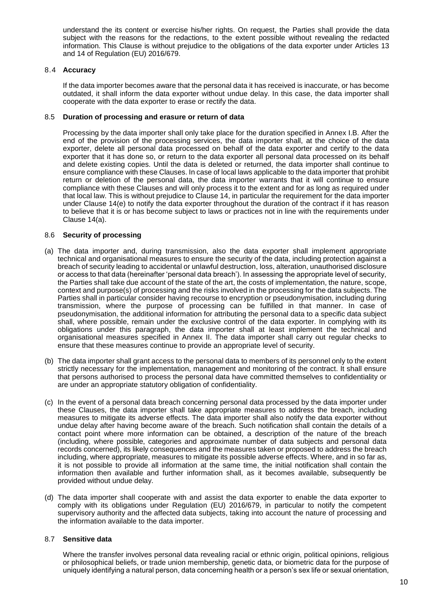understand the its content or exercise his/her rights. On request, the Parties shall provide the data subject with the reasons for the redactions, to the extent possible without revealing the redacted information. This Clause is without prejudice to the obligations of the data exporter under Articles 13 and 14 of Regulation (EU) 2016/679.

### 8.4 **Accuracy**

If the data importer becomes aware that the personal data it has received is inaccurate, or has become outdated, it shall inform the data exporter without undue delay. In this case, the data importer shall cooperate with the data exporter to erase or rectify the data.

### 8.5 **Duration of processing and erasure or return of data**

Processing by the data importer shall only take place for the duration specified in Annex I.B. After the end of the provision of the processing services, the data importer shall, at the choice of the data exporter, delete all personal data processed on behalf of the data exporter and certify to the data exporter that it has done so, or return to the data exporter all personal data processed on its behalf and delete existing copies. Until the data is deleted or returned, the data importer shall continue to ensure compliance with these Clauses. In case of local laws applicable to the data importer that prohibit return or deletion of the personal data, the data importer warrants that it will continue to ensure compliance with these Clauses and will only process it to the extent and for as long as required under that local law. This is without prejudice to Clause 14, in particular the requirement for the data importer under Clause 14(e) to notify the data exporter throughout the duration of the contract if it has reason to believe that it is or has become subject to laws or practices not in line with the requirements under Clause 14(a).

### 8.6 **Security of processing**

- (a) The data importer and, during transmission, also the data exporter shall implement appropriate technical and organisational measures to ensure the security of the data, including protection against a breach of security leading to accidental or unlawful destruction, loss, alteration, unauthorised disclosure or access to that data (hereinafter 'personal data breach'). In assessing the appropriate level of security, the Parties shall take due account of the state of the art, the costs of implementation, the nature, scope, context and purpose(s) of processing and the risks involved in the processing for the data subjects. The Parties shall in particular consider having recourse to encryption or pseudonymisation, including during transmission, where the purpose of processing can be fulfilled in that manner. In case of pseudonymisation, the additional information for attributing the personal data to a specific data subject shall, where possible, remain under the exclusive control of the data exporter. In complying with its obligations under this paragraph, the data importer shall at least implement the technical and organisational measures specified in Annex II. The data importer shall carry out regular checks to ensure that these measures continue to provide an appropriate level of security.
- (b) The data importer shall grant access to the personal data to members of its personnel only to the extent strictly necessary for the implementation, management and monitoring of the contract. It shall ensure that persons authorised to process the personal data have committed themselves to confidentiality or are under an appropriate statutory obligation of confidentiality.
- (c) In the event of a personal data breach concerning personal data processed by the data importer under these Clauses, the data importer shall take appropriate measures to address the breach, including measures to mitigate its adverse effects. The data importer shall also notify the data exporter without undue delay after having become aware of the breach. Such notification shall contain the details of a contact point where more information can be obtained, a description of the nature of the breach (including, where possible, categories and approximate number of data subjects and personal data records concerned), its likely consequences and the measures taken or proposed to address the breach including, where appropriate, measures to mitigate its possible adverse effects. Where, and in so far as, it is not possible to provide all information at the same time, the initial notification shall contain the information then available and further information shall, as it becomes available, subsequently be provided without undue delay.
- (d) The data importer shall cooperate with and assist the data exporter to enable the data exporter to comply with its obligations under Regulation (EU) 2016/679, in particular to notify the competent supervisory authority and the affected data subjects, taking into account the nature of processing and the information available to the data importer.

#### 8.7 **Sensitive data**

Where the transfer involves personal data revealing racial or ethnic origin, political opinions, religious or philosophical beliefs, or trade union membership, genetic data, or biometric data for the purpose of uniquely identifying a natural person, data concerning health or a person's sex life or sexual orientation,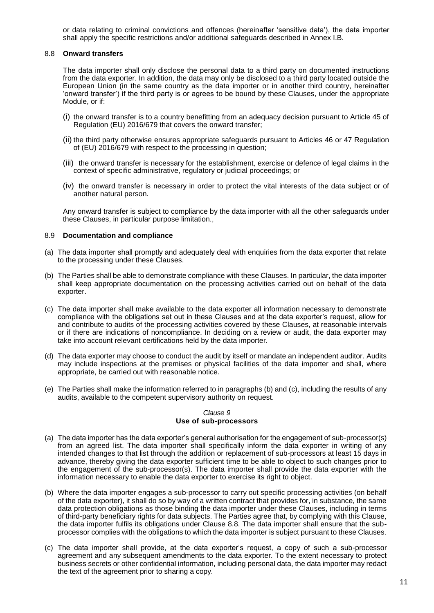or data relating to criminal convictions and offences (hereinafter 'sensitive data'), the data importer shall apply the specific restrictions and/or additional safeguards described in Annex I.B.

#### 8.8 **Onward transfers**

The data importer shall only disclose the personal data to a third party on documented instructions from the data exporter. In addition, the data may only be disclosed to a third party located outside the European Union (in the same country as the data importer or in another third country, hereinafter 'onward transfer') if the third party is or agrees to be bound by these Clauses, under the appropriate Module, or if:

- (i) the onward transfer is to a country benefitting from an adequacy decision pursuant to Article 45 of Regulation (EU) 2016/679 that covers the onward transfer;
- (ii) the third party otherwise ensures appropriate safeguards pursuant to Articles 46 or 47 Regulation of (EU) 2016/679 with respect to the processing in question;
- (iii) the onward transfer is necessary for the establishment, exercise or defence of legal claims in the context of specific administrative, regulatory or judicial proceedings; or
- (iv) the onward transfer is necessary in order to protect the vital interests of the data subject or of another natural person.

Any onward transfer is subject to compliance by the data importer with all the other safeguards under these Clauses, in particular purpose limitation.,

#### 8.9 **Documentation and compliance**

- (a) The data importer shall promptly and adequately deal with enquiries from the data exporter that relate to the processing under these Clauses.
- (b) The Parties shall be able to demonstrate compliance with these Clauses. In particular, the data importer shall keep appropriate documentation on the processing activities carried out on behalf of the data exporter.
- (c) The data importer shall make available to the data exporter all information necessary to demonstrate compliance with the obligations set out in these Clauses and at the data exporter's request, allow for and contribute to audits of the processing activities covered by these Clauses, at reasonable intervals or if there are indications of noncompliance. In deciding on a review or audit, the data exporter may take into account relevant certifications held by the data importer.
- (d) The data exporter may choose to conduct the audit by itself or mandate an independent auditor. Audits may include inspections at the premises or physical facilities of the data importer and shall, where appropriate, be carried out with reasonable notice.
- (e) The Parties shall make the information referred to in paragraphs (b) and (c), including the results of any audits, available to the competent supervisory authority on request.

#### *Clause 9* **Use of sub-processors**

- (a) The data importer has the data exporter's general authorisation for the engagement of sub-processor(s) from an agreed list. The data importer shall specifically inform the data exporter in writing of any intended changes to that list through the addition or replacement of sub-processors at least 15 days in advance, thereby giving the data exporter sufficient time to be able to object to such changes prior to the engagement of the sub-processor(s). The data importer shall provide the data exporter with the information necessary to enable the data exporter to exercise its right to object.
- (b) Where the data importer engages a sub-processor to carry out specific processing activities (on behalf of the data exporter), it shall do so by way of a written contract that provides for, in substance, the same data protection obligations as those binding the data importer under these Clauses, including in terms of third-party beneficiary rights for data subjects. The Parties agree that, by complying with this Clause, the data importer fulfils its obligations under Clause 8.8. The data importer shall ensure that the subprocessor complies with the obligations to which the data importer is subject pursuant to these Clauses.
- (c) The data importer shall provide, at the data exporter's request, a copy of such a sub-processor agreement and any subsequent amendments to the data exporter. To the extent necessary to protect business secrets or other confidential information, including personal data, the data importer may redact the text of the agreement prior to sharing a copy.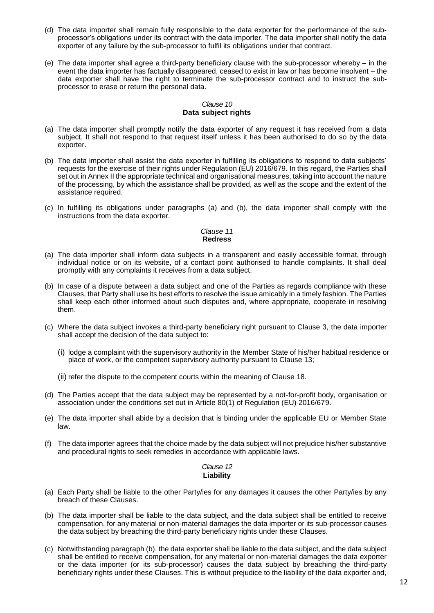- (d) The data importer shall remain fully responsible to the data exporter for the performance of the subprocessor's obligations under its contract with the data importer. The data importer shall notify the data exporter of any failure by the sub-processor to fulfil its obligations under that contract.
- (e) The data importer shall agree a third-party beneficiary clause with the sub-processor whereby in the event the data importer has factually disappeared, ceased to exist in law or has become insolvent – the data exporter shall have the right to terminate the sub-processor contract and to instruct the subprocessor to erase or return the personal data.

## *Clause 10* **Data subject rights**

- (a) The data importer shall promptly notify the data exporter of any request it has received from a data subject. It shall not respond to that request itself unless it has been authorised to do so by the data exporter.
- (b) The data importer shall assist the data exporter in fulfilling its obligations to respond to data subjects' requests for the exercise of their rights under Regulation (EU) 2016/679. In this regard, the Parties shall set out in Annex II the appropriate technical and organisational measures, taking into account the nature of the processing, by which the assistance shall be provided, as well as the scope and the extent of the assistance required.
- (c) In fulfilling its obligations under paragraphs (a) and (b), the data importer shall comply with the instructions from the data exporter.

#### *Clause 11* **Redress**

- (a) The data importer shall inform data subjects in a transparent and easily accessible format, through individual notice or on its website, of a contact point authorised to handle complaints. It shall deal promptly with any complaints it receives from a data subject.
- (b) In case of a dispute between a data subject and one of the Parties as regards compliance with these Clauses, that Party shall use its best efforts to resolve the issue amicably in a timely fashion. The Parties shall keep each other informed about such disputes and, where appropriate, cooperate in resolving them.
- (c) Where the data subject invokes a third-party beneficiary right pursuant to Clause 3, the data importer shall accept the decision of the data subject to:
	- (i) lodge a complaint with the supervisory authority in the Member State of his/her habitual residence or place of work, or the competent supervisory authority pursuant to Clause 13;
	- (ii) refer the dispute to the competent courts within the meaning of Clause 18.
- (d) The Parties accept that the data subject may be represented by a not-for-profit body, organisation or association under the conditions set out in Article 80(1) of Regulation (EU) 2016/679.
- (e) The data importer shall abide by a decision that is binding under the applicable EU or Member State law.
- (f) The data importer agrees that the choice made by the data subject will not prejudice his/her substantive and procedural rights to seek remedies in accordance with applicable laws.

### *Clause 12* **Liability**

- (a) Each Party shall be liable to the other Party/ies for any damages it causes the other Party/ies by any breach of these Clauses.
- (b) The data importer shall be liable to the data subject, and the data subject shall be entitled to receive compensation, for any material or non-material damages the data importer or its sub-processor causes the data subject by breaching the third-party beneficiary rights under these Clauses.
- (c) Notwithstanding paragraph (b), the data exporter shall be liable to the data subject, and the data subject shall be entitled to receive compensation, for any material or non-material damages the data exporter or the data importer (or its sub-processor) causes the data subject by breaching the third-party beneficiary rights under these Clauses. This is without prejudice to the liability of the data exporter and,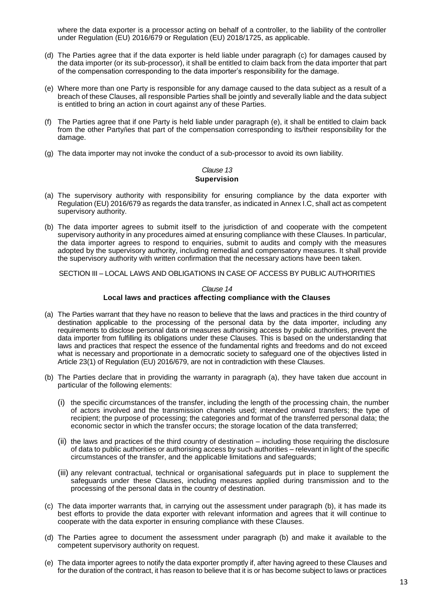where the data exporter is a processor acting on behalf of a controller, to the liability of the controller under Regulation (EU) 2016/679 or Regulation (EU) 2018/1725, as applicable.

- (d) The Parties agree that if the data exporter is held liable under paragraph (c) for damages caused by the data importer (or its sub-processor), it shall be entitled to claim back from the data importer that part of the compensation corresponding to the data importer's responsibility for the damage.
- (e) Where more than one Party is responsible for any damage caused to the data subject as a result of a breach of these Clauses, all responsible Parties shall be jointly and severally liable and the data subject is entitled to bring an action in court against any of these Parties.
- (f) The Parties agree that if one Party is held liable under paragraph (e), it shall be entitled to claim back from the other Party/ies that part of the compensation corresponding to its/their responsibility for the damage.
- (g) The data importer may not invoke the conduct of a sub-processor to avoid its own liability.

#### *Clause 13* **Supervision**

- (a) The supervisory authority with responsibility for ensuring compliance by the data exporter with Regulation (EU) 2016/679 as regards the data transfer, as indicated in Annex I.C, shall act as competent supervisory authority.
- (b) The data importer agrees to submit itself to the jurisdiction of and cooperate with the competent supervisory authority in any procedures aimed at ensuring compliance with these Clauses. In particular, the data importer agrees to respond to enquiries, submit to audits and comply with the measures adopted by the supervisory authority, including remedial and compensatory measures. It shall provide the supervisory authority with written confirmation that the necessary actions have been taken.

SECTION III – LOCAL LAWS AND OBLIGATIONS IN CASE OF ACCESS BY PUBLIC AUTHORITIES

#### *Clause 14*

#### **Local laws and practices affecting compliance with the Clauses**

- (a) The Parties warrant that they have no reason to believe that the laws and practices in the third country of destination applicable to the processing of the personal data by the data importer, including any requirements to disclose personal data or measures authorising access by public authorities, prevent the data importer from fulfilling its obligations under these Clauses. This is based on the understanding that laws and practices that respect the essence of the fundamental rights and freedoms and do not exceed what is necessary and proportionate in a democratic society to safeguard one of the objectives listed in Article 23(1) of Regulation (EU) 2016/679, are not in contradiction with these Clauses.
- (b) The Parties declare that in providing the warranty in paragraph (a), they have taken due account in particular of the following elements:
	- (i) the specific circumstances of the transfer, including the length of the processing chain, the number of actors involved and the transmission channels used; intended onward transfers; the type of recipient; the purpose of processing; the categories and format of the transferred personal data; the economic sector in which the transfer occurs; the storage location of the data transferred;
	- (ii) the laws and practices of the third country of destination including those requiring the disclosure of data to public authorities or authorising access by such authorities – relevant in light of the specific circumstances of the transfer, and the applicable limitations and safeguards;
	- (iii) any relevant contractual, technical or organisational safeguards put in place to supplement the safeguards under these Clauses, including measures applied during transmission and to the processing of the personal data in the country of destination.
- (c) The data importer warrants that, in carrying out the assessment under paragraph (b), it has made its best efforts to provide the data exporter with relevant information and agrees that it will continue to cooperate with the data exporter in ensuring compliance with these Clauses.
- (d) The Parties agree to document the assessment under paragraph (b) and make it available to the competent supervisory authority on request.
- (e) The data importer agrees to notify the data exporter promptly if, after having agreed to these Clauses and for the duration of the contract, it has reason to believe that it is or has become subject to laws or practices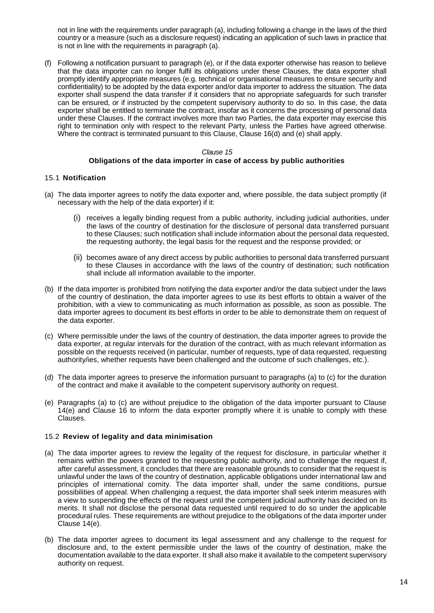not in line with the requirements under paragraph (a), including following a change in the laws of the third country or a measure (such as a disclosure request) indicating an application of such laws in practice that is not in line with the requirements in paragraph (a).

(f) Following a notification pursuant to paragraph (e), or if the data exporter otherwise has reason to believe that the data importer can no longer fulfil its obligations under these Clauses, the data exporter shall promptly identify appropriate measures (e.g. technical or organisational measures to ensure security and confidentiality) to be adopted by the data exporter and/or data importer to address the situation. The data exporter shall suspend the data transfer if it considers that no appropriate safeguards for such transfer can be ensured, or if instructed by the competent supervisory authority to do so. In this case, the data exporter shall be entitled to terminate the contract, insofar as it concerns the processing of personal data under these Clauses. If the contract involves more than two Parties, the data exporter may exercise this right to termination only with respect to the relevant Party, unless the Parties have agreed otherwise. Where the contract is terminated pursuant to this Clause, Clause 16(d) and (e) shall apply.

#### *Clause 15*

### **Obligations of the data importer in case of access by public authorities**

#### 15.1 **Notification**

- (a) The data importer agrees to notify the data exporter and, where possible, the data subject promptly (if necessary with the help of the data exporter) if it:
	- (i) receives a legally binding request from a public authority, including judicial authorities, under the laws of the country of destination for the disclosure of personal data transferred pursuant to these Clauses; such notification shall include information about the personal data requested, the requesting authority, the legal basis for the request and the response provided; or
	- (ii) becomes aware of any direct access by public authorities to personal data transferred pursuant to these Clauses in accordance with the laws of the country of destination; such notification shall include all information available to the importer.
- (b) If the data importer is prohibited from notifying the data exporter and/or the data subject under the laws of the country of destination, the data importer agrees to use its best efforts to obtain a waiver of the prohibition, with a view to communicating as much information as possible, as soon as possible. The data importer agrees to document its best efforts in order to be able to demonstrate them on request of the data exporter.
- (c) Where permissible under the laws of the country of destination, the data importer agrees to provide the data exporter, at regular intervals for the duration of the contract, with as much relevant information as possible on the requests received (in particular, number of requests, type of data requested, requesting authority/ies, whether requests have been challenged and the outcome of such challenges, etc.).
- (d) The data importer agrees to preserve the information pursuant to paragraphs (a) to (c) for the duration of the contract and make it available to the competent supervisory authority on request.
- (e) Paragraphs (a) to (c) are without prejudice to the obligation of the data importer pursuant to Clause 14(e) and Clause 16 to inform the data exporter promptly where it is unable to comply with these Clauses.

## 15.2 **Review of legality and data minimisation**

- (a) The data importer agrees to review the legality of the request for disclosure, in particular whether it remains within the powers granted to the requesting public authority, and to challenge the request if, after careful assessment, it concludes that there are reasonable grounds to consider that the request is unlawful under the laws of the country of destination, applicable obligations under international law and principles of international comity. The data importer shall, under the same conditions, pursue possibilities of appeal. When challenging a request, the data importer shall seek interim measures with a view to suspending the effects of the request until the competent judicial authority has decided on its merits. It shall not disclose the personal data requested until required to do so under the applicable procedural rules. These requirements are without prejudice to the obligations of the data importer under Clause 14(e).
- (b) The data importer agrees to document its legal assessment and any challenge to the request for disclosure and, to the extent permissible under the laws of the country of destination, make the documentation available to the data exporter. It shall also make it available to the competent supervisory authority on request.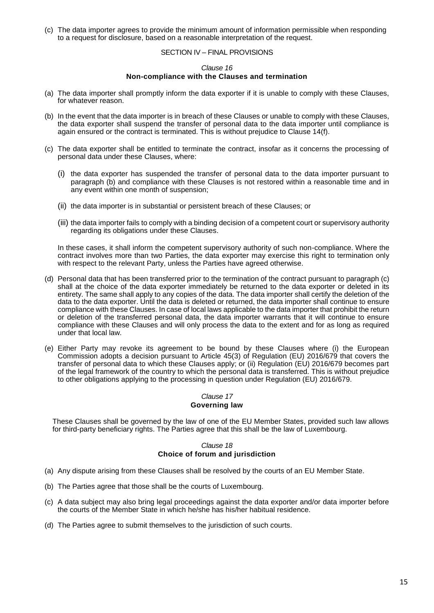(c) The data importer agrees to provide the minimum amount of information permissible when responding to a request for disclosure, based on a reasonable interpretation of the request.

## SECTION IV – FINAL PROVISIONS

### *Clause 16*

## **Non-compliance with the Clauses and termination**

- (a) The data importer shall promptly inform the data exporter if it is unable to comply with these Clauses, for whatever reason.
- (b) In the event that the data importer is in breach of these Clauses or unable to comply with these Clauses, the data exporter shall suspend the transfer of personal data to the data importer until compliance is again ensured or the contract is terminated. This is without prejudice to Clause 14(f).
- (c) The data exporter shall be entitled to terminate the contract, insofar as it concerns the processing of personal data under these Clauses, where:
	- (i) the data exporter has suspended the transfer of personal data to the data importer pursuant to paragraph (b) and compliance with these Clauses is not restored within a reasonable time and in any event within one month of suspension;
	- (ii) the data importer is in substantial or persistent breach of these Clauses; or
	- (iii) the data importer fails to comply with a binding decision of a competent court or supervisory authority regarding its obligations under these Clauses.

In these cases, it shall inform the competent supervisory authority of such non-compliance. Where the contract involves more than two Parties, the data exporter may exercise this right to termination only with respect to the relevant Party, unless the Parties have agreed otherwise.

- (d) Personal data that has been transferred prior to the termination of the contract pursuant to paragraph (c) shall at the choice of the data exporter immediately be returned to the data exporter or deleted in its entirety. The same shall apply to any copies of the data. The data importer shall certify the deletion of the data to the data exporter. Until the data is deleted or returned, the data importer shall continue to ensure compliance with these Clauses. In case of local laws applicable to the data importer that prohibit the return or deletion of the transferred personal data, the data importer warrants that it will continue to ensure compliance with these Clauses and will only process the data to the extent and for as long as required under that local law.
- (e) Either Party may revoke its agreement to be bound by these Clauses where (i) the European Commission adopts a decision pursuant to Article 45(3) of Regulation (EU) 2016/679 that covers the transfer of personal data to which these Clauses apply; or (ii) Regulation (EU) 2016/679 becomes part of the legal framework of the country to which the personal data is transferred. This is without prejudice to other obligations applying to the processing in question under Regulation (EU) 2016/679.

# *Clause 17* **Governing law**

These Clauses shall be governed by the law of one of the EU Member States, provided such law allows for third-party beneficiary rights. The Parties agree that this shall be the law of Luxembourg.

### *Clause 18* **Choice of forum and jurisdiction**

- (a) Any dispute arising from these Clauses shall be resolved by the courts of an EU Member State.
- (b) The Parties agree that those shall be the courts of Luxembourg.
- (c) A data subject may also bring legal proceedings against the data exporter and/or data importer before the courts of the Member State in which he/she has his/her habitual residence.
- (d) The Parties agree to submit themselves to the jurisdiction of such courts.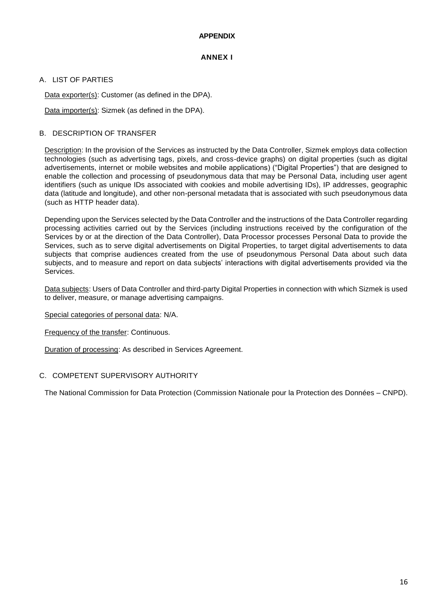## **APPENDIX**

## **ANNEX I**

# A. LIST OF PARTIES

Data exporter(s): Customer (as defined in the DPA).

Data importer(s): Sizmek (as defined in the DPA).

# B. DESCRIPTION OF TRANSFER

Description: In the provision of the Services as instructed by the Data Controller, Sizmek employs data collection technologies (such as advertising tags, pixels, and cross-device graphs) on digital properties (such as digital advertisements, internet or mobile websites and mobile applications) ("Digital Properties") that are designed to enable the collection and processing of pseudonymous data that may be Personal Data, including user agent identifiers (such as unique IDs associated with cookies and mobile advertising IDs), IP addresses, geographic data (latitude and longitude), and other non-personal metadata that is associated with such pseudonymous data (such as HTTP header data).

Depending upon the Services selected by the Data Controller and the instructions of the Data Controller regarding processing activities carried out by the Services (including instructions received by the configuration of the Services by or at the direction of the Data Controller), Data Processor processes Personal Data to provide the Services, such as to serve digital advertisements on Digital Properties, to target digital advertisements to data subjects that comprise audiences created from the use of pseudonymous Personal Data about such data subjects, and to measure and report on data subjects' interactions with digital advertisements provided via the Services.

Data subjects: Users of Data Controller and third-party Digital Properties in connection with which Sizmek is used to deliver, measure, or manage advertising campaigns.

Special categories of personal data: N/A.

Frequency of the transfer: Continuous.

Duration of processing: As described in Services Agreement.

# C. COMPETENT SUPERVISORY AUTHORITY

The National Commission for Data Protection (Commission Nationale pour la Protection des Données – CNPD).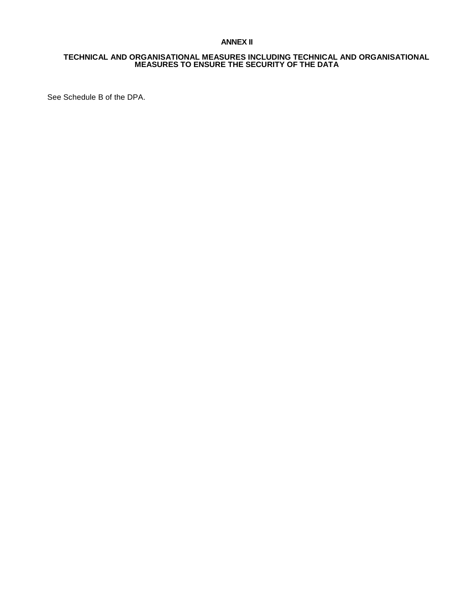### **ANNEX II**

#### **TECHNICAL AND ORGANISATIONAL MEASURES INCLUDING TECHNICAL AND ORGANISATIONAL MEASURES TO ENSURE THE SECURITY OF THE DATA**

See Schedule B of the DPA.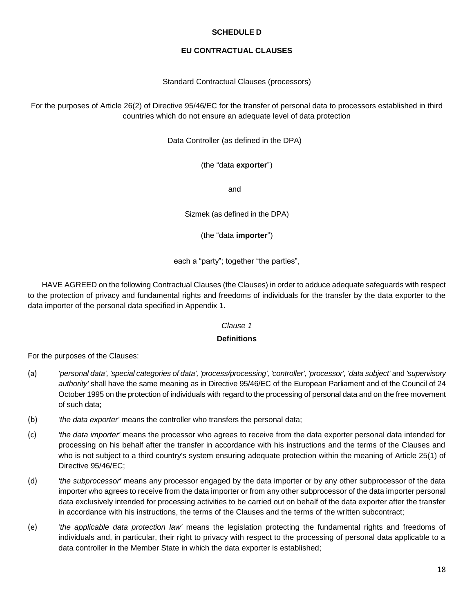## **SCHEDULE D**

# **EU CONTRACTUAL CLAUSES**

Standard Contractual Clauses (processors)

For the purposes of Article 26(2) of Directive 95/46/EC for the transfer of personal data to processors established in third countries which do not ensure an adequate level of data protection

Data Controller (as defined in the DPA)

(the "data **exporter**")

and

Sizmek (as defined in the DPA)

(the "data **importer**")

each a "party"; together "the parties",

HAVE AGREED on the following Contractual Clauses (the Clauses) in order to adduce adequate safeguards with respect to the protection of privacy and fundamental rights and freedoms of individuals for the transfer by the data exporter to the data importer of the personal data specified in Appendix 1.

### *Clause 1*

### **Definitions**

For the purposes of the Clauses:

- (a) *'personal data', 'special categories of data', 'process/processing', 'controller', 'processor', 'data subject'* and *'supervisory authority'* shall have the same meaning as in Directive 95/46/EC of the European Parliament and of the Council of 24 October 1995 on the protection of individuals with regard to the processing of personal data and on the free movement of such data;
- (b) '*the data exporter'* means the controller who transfers the personal data;
- (c) *'the data importer'* means the processor who agrees to receive from the data exporter personal data intended for processing on his behalf after the transfer in accordance with his instructions and the terms of the Clauses and who is not subject to a third country's system ensuring adequate protection within the meaning of Article 25(1) of Directive 95/46/EC;
- (d) *'the subprocessor'* means any processor engaged by the data importer or by any other subprocessor of the data importer who agrees to receive from the data importer or from any other subprocessor of the data importer personal data exclusively intended for processing activities to be carried out on behalf of the data exporter after the transfer in accordance with his instructions, the terms of the Clauses and the terms of the written subcontract;
- (e) '*the applicable data protection law'* means the legislation protecting the fundamental rights and freedoms of individuals and, in particular, their right to privacy with respect to the processing of personal data applicable to a data controller in the Member State in which the data exporter is established;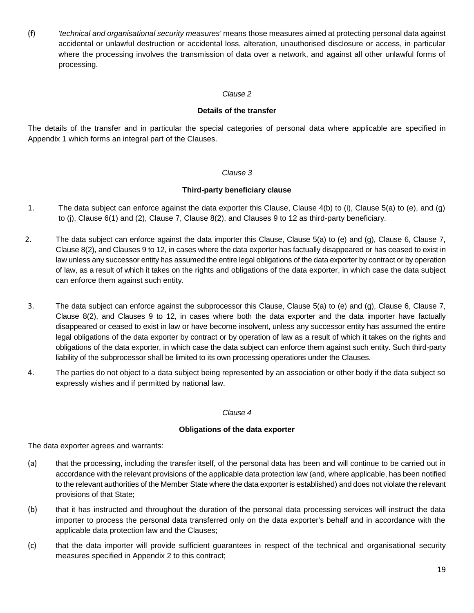(f) *'technical and organisational security measures'* means those measures aimed at protecting personal data against accidental or unlawful destruction or accidental loss, alteration, unauthorised disclosure or access, in particular where the processing involves the transmission of data over a network, and against all other unlawful forms of processing.

### *Clause 2*

## **Details of the transfer**

The details of the transfer and in particular the special categories of personal data where applicable are specified in Appendix 1 which forms an integral part of the Clauses.

### *Clause 3*

## **Third-party beneficiary clause**

- 1. The data subject can enforce against the data exporter this Clause, Clause 4(b) to (i), Clause 5(a) to (e), and (g) to (j), Clause 6(1) and (2), Clause 7, Clause 8(2), and Clauses 9 to 12 as third-party beneficiary.
- 2. The data subject can enforce against the data importer this Clause, Clause 5(a) to (e) and (g), Clause 6, Clause 7, Clause 8(2), and Clauses 9 to 12, in cases where the data exporter has factually disappeared or has ceased to exist in law unless any successor entity has assumed the entire legal obligations of the data exporter by contract or by operation of law, as a result of which it takes on the rights and obligations of the data exporter, in which case the data subject can enforce them against such entity.
- 3. The data subject can enforce against the subprocessor this Clause, Clause 5(a) to (e) and (g), Clause 6, Clause 7, Clause 8(2), and Clauses 9 to 12, in cases where both the data exporter and the data importer have factually disappeared or ceased to exist in law or have become insolvent, unless any successor entity has assumed the entire legal obligations of the data exporter by contract or by operation of law as a result of which it takes on the rights and obligations of the data exporter, in which case the data subject can enforce them against such entity. Such third-party liability of the subprocessor shall be limited to its own processing operations under the Clauses.
- 4. The parties do not object to a data subject being represented by an association or other body if the data subject so expressly wishes and if permitted by national law.

### *Clause 4*

### **Obligations of the data exporter**

The data exporter agrees and warrants:

- (a) that the processing, including the transfer itself, of the personal data has been and will continue to be carried out in accordance with the relevant provisions of the applicable data protection law (and, where applicable, has been notified to the relevant authorities of the Member State where the data exporter is established) and does not violate the relevant provisions of that State;
- (b) that it has instructed and throughout the duration of the personal data processing services will instruct the data importer to process the personal data transferred only on the data exporter's behalf and in accordance with the applicable data protection law and the Clauses;
- (c) that the data importer will provide sufficient guarantees in respect of the technical and organisational security measures specified in Appendix 2 to this contract;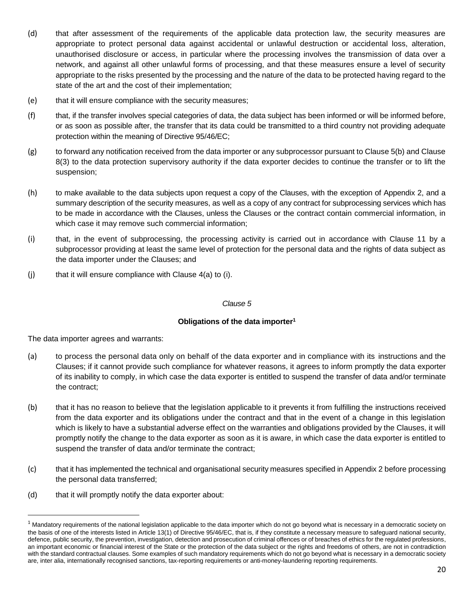- (d) that after assessment of the requirements of the applicable data protection law, the security measures are appropriate to protect personal data against accidental or unlawful destruction or accidental loss, alteration, unauthorised disclosure or access, in particular where the processing involves the transmission of data over a network, and against all other unlawful forms of processing, and that these measures ensure a level of security appropriate to the risks presented by the processing and the nature of the data to be protected having regard to the state of the art and the cost of their implementation;
- (e) that it will ensure compliance with the security measures;
- (f) that, if the transfer involves special categories of data, the data subject has been informed or will be informed before, or as soon as possible after, the transfer that its data could be transmitted to a third country not providing adequate protection within the meaning of Directive 95/46/EC;
- (g) to forward any notification received from the data importer or any subprocessor pursuant to Clause 5(b) and Clause 8(3) to the data protection supervisory authority if the data exporter decides to continue the transfer or to lift the suspension;
- (h) to make available to the data subjects upon request a copy of the Clauses, with the exception of Appendix 2, and a summary description of the security measures, as well as a copy of any contract for subprocessing services which has to be made in accordance with the Clauses, unless the Clauses or the contract contain commercial information, in which case it may remove such commercial information;
- (i) that, in the event of subprocessing, the processing activity is carried out in accordance with Clause 11 by a subprocessor providing at least the same level of protection for the personal data and the rights of data subject as the data importer under the Clauses; and
- $(i)$  that it will ensure compliance with Clause  $4(a)$  to  $(i)$ .

## **Obligations of the data importer<sup>1</sup>**

The data importer agrees and warrants:

- (a) to process the personal data only on behalf of the data exporter and in compliance with its instructions and the Clauses; if it cannot provide such compliance for whatever reasons, it agrees to inform promptly the data exporter of its inability to comply, in which case the data exporter is entitled to suspend the transfer of data and/or terminate the contract;
- (b) that it has no reason to believe that the legislation applicable to it prevents it from fulfilling the instructions received from the data exporter and its obligations under the contract and that in the event of a change in this legislation which is likely to have a substantial adverse effect on the warranties and obligations provided by the Clauses, it will promptly notify the change to the data exporter as soon as it is aware, in which case the data exporter is entitled to suspend the transfer of data and/or terminate the contract;
- (c) that it has implemented the technical and organisational security measures specified in Appendix 2 before processing the personal data transferred;
- (d) that it will promptly notify the data exporter about:

 $\overline{\phantom{a}}$ 

 $<sup>1</sup>$  Mandatory requirements of the national legislation applicable to the data importer which do not go beyond what is necessary in a democratic society on</sup> the basis of one of the interests listed in Article 13(1) of Directive 95/46/EC, that is, if they constitute a necessary measure to safeguard national security, defence, public security, the prevention, investigation, detection and prosecution of criminal offences or of breaches of ethics for the regulated professions, an important economic or financial interest of the State or the protection of the data subject or the rights and freedoms of others, are not in contradiction with the standard contractual clauses. Some examples of such mandatory requirements which do not go beyond what is necessary in a democratic society are, inter alia, internationally recognised sanctions, tax-reporting requirements or anti-money-laundering reporting requirements.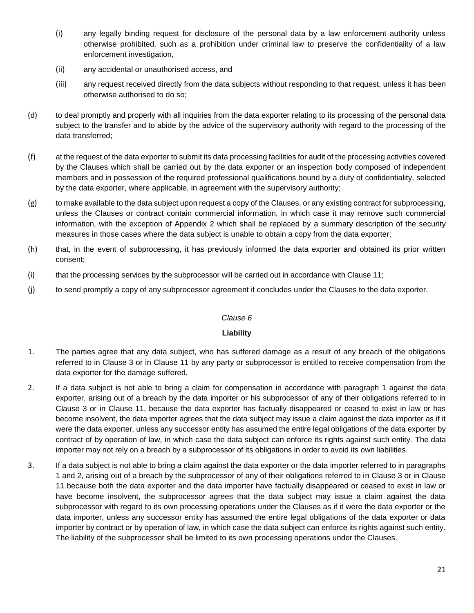- (i) any legally binding request for disclosure of the personal data by a law enforcement authority unless otherwise prohibited, such as a prohibition under criminal law to preserve the confidentiality of a law enforcement investigation,
- (ii) any accidental or unauthorised access, and
- (iii) any request received directly from the data subjects without responding to that request, unless it has been otherwise authorised to do so;
- (d) to deal promptly and properly with all inquiries from the data exporter relating to its processing of the personal data subject to the transfer and to abide by the advice of the supervisory authority with regard to the processing of the data transferred;
- (f) at the request of the data exporter to submit its data processing facilities for audit of the processing activities covered by the Clauses which shall be carried out by the data exporter or an inspection body composed of independent members and in possession of the required professional qualifications bound by a duty of confidentiality, selected by the data exporter, where applicable, in agreement with the supervisory authority;
- (g) to make available to the data subject upon request a copy of the Clauses, or any existing contract for subprocessing, unless the Clauses or contract contain commercial information, in which case it may remove such commercial information, with the exception of Appendix 2 which shall be replaced by a summary description of the security measures in those cases where the data subject is unable to obtain a copy from the data exporter;
- (h) that, in the event of subprocessing, it has previously informed the data exporter and obtained its prior written consent;
- (i) that the processing services by the subprocessor will be carried out in accordance with Clause 11;
- (j) to send promptly a copy of any subprocessor agreement it concludes under the Clauses to the data exporter.

## **Liability**

- 1. The parties agree that any data subject, who has suffered damage as a result of any breach of the obligations referred to in Clause 3 or in Clause 11 by any party or subprocessor is entitled to receive compensation from the data exporter for the damage suffered.
- 2. If a data subject is not able to bring a claim for compensation in accordance with paragraph 1 against the data exporter, arising out of a breach by the data importer or his subprocessor of any of their obligations referred to in Clause 3 or in Clause 11, because the data exporter has factually disappeared or ceased to exist in law or has become insolvent, the data importer agrees that the data subject may issue a claim against the data importer as if it were the data exporter, unless any successor entity has assumed the entire legal obligations of the data exporter by contract of by operation of law, in which case the data subject can enforce its rights against such entity. The data importer may not rely on a breach by a subprocessor of its obligations in order to avoid its own liabilities.
- 3. If a data subject is not able to bring a claim against the data exporter or the data importer referred to in paragraphs 1 and 2, arising out of a breach by the subprocessor of any of their obligations referred to in Clause 3 or in Clause 11 because both the data exporter and the data importer have factually disappeared or ceased to exist in law or have become insolvent, the subprocessor agrees that the data subject may issue a claim against the data subprocessor with regard to its own processing operations under the Clauses as if it were the data exporter or the data importer, unless any successor entity has assumed the entire legal obligations of the data exporter or data importer by contract or by operation of law, in which case the data subject can enforce its rights against such entity. The liability of the subprocessor shall be limited to its own processing operations under the Clauses.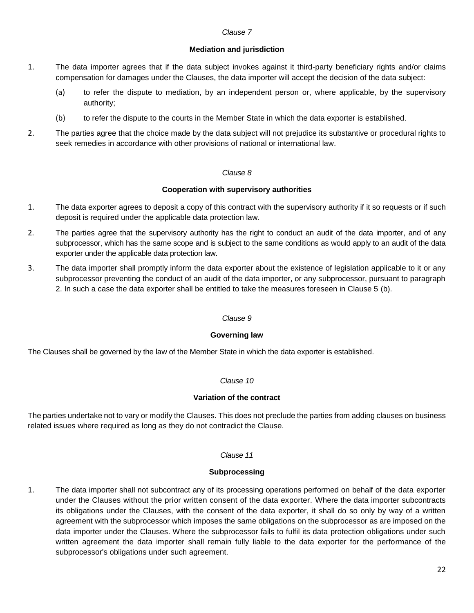## **Mediation and jurisdiction**

- 1. The data importer agrees that if the data subject invokes against it third-party beneficiary rights and/or claims compensation for damages under the Clauses, the data importer will accept the decision of the data subject:
	- (a) to refer the dispute to mediation, by an independent person or, where applicable, by the supervisory authority;
	- (b) to refer the dispute to the courts in the Member State in which the data exporter is established.
- 2. The parties agree that the choice made by the data subject will not prejudice its substantive or procedural rights to seek remedies in accordance with other provisions of national or international law.

## *Clause 8*

## **Cooperation with supervisory authorities**

- 1. The data exporter agrees to deposit a copy of this contract with the supervisory authority if it so requests or if such deposit is required under the applicable data protection law.
- 2. The parties agree that the supervisory authority has the right to conduct an audit of the data importer, and of any subprocessor, which has the same scope and is subject to the same conditions as would apply to an audit of the data exporter under the applicable data protection law.
- 3. The data importer shall promptly inform the data exporter about the existence of legislation applicable to it or any subprocessor preventing the conduct of an audit of the data importer, or any subprocessor, pursuant to paragraph 2. In such a case the data exporter shall be entitled to take the measures foreseen in Clause 5 (b).

## *Clause 9*

## **Governing law**

The Clauses shall be governed by the law of the Member State in which the data exporter is established.

## *Clause 10*

## **Variation of the contract**

The parties undertake not to vary or modify the Clauses. This does not preclude the parties from adding clauses on business related issues where required as long as they do not contradict the Clause.

## *Clause 11*

## **Subprocessing**

1. The data importer shall not subcontract any of its processing operations performed on behalf of the data exporter under the Clauses without the prior written consent of the data exporter. Where the data importer subcontracts its obligations under the Clauses, with the consent of the data exporter, it shall do so only by way of a written agreement with the subprocessor which imposes the same obligations on the subprocessor as are imposed on the data importer under the Clauses. Where the subprocessor fails to fulfil its data protection obligations under such written agreement the data importer shall remain fully liable to the data exporter for the performance of the subprocessor's obligations under such agreement.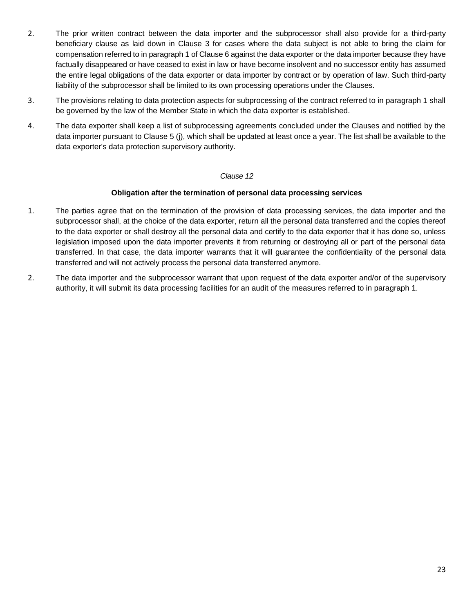- 2. The prior written contract between the data importer and the subprocessor shall also provide for a third-party beneficiary clause as laid down in Clause 3 for cases where the data subject is not able to bring the claim for compensation referred to in paragraph 1 of Clause 6 against the data exporter or the data importer because they have factually disappeared or have ceased to exist in law or have become insolvent and no successor entity has assumed the entire legal obligations of the data exporter or data importer by contract or by operation of law. Such third-party liability of the subprocessor shall be limited to its own processing operations under the Clauses.
- 3. The provisions relating to data protection aspects for subprocessing of the contract referred to in paragraph 1 shall be governed by the law of the Member State in which the data exporter is established.
- 4. The data exporter shall keep a list of subprocessing agreements concluded under the Clauses and notified by the data importer pursuant to Clause 5 (j), which shall be updated at least once a year. The list shall be available to the data exporter's data protection supervisory authority.

### **Obligation after the termination of personal data processing services**

- 1. The parties agree that on the termination of the provision of data processing services, the data importer and the subprocessor shall, at the choice of the data exporter, return all the personal data transferred and the copies thereof to the data exporter or shall destroy all the personal data and certify to the data exporter that it has done so, unless legislation imposed upon the data importer prevents it from returning or destroying all or part of the personal data transferred. In that case, the data importer warrants that it will guarantee the confidentiality of the personal data transferred and will not actively process the personal data transferred anymore.
- 2. The data importer and the subprocessor warrant that upon request of the data exporter and/or of the supervisory authority, it will submit its data processing facilities for an audit of the measures referred to in paragraph 1.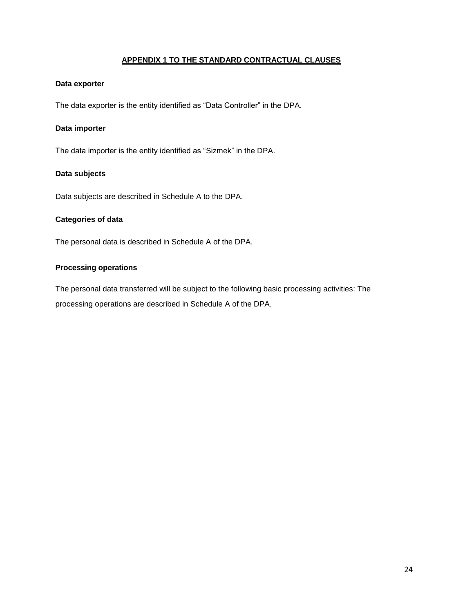## **APPENDIX 1 TO THE STANDARD CONTRACTUAL CLAUSES**

### **Data exporter**

The data exporter is the entity identified as "Data Controller" in the DPA.

### **Data importer**

The data importer is the entity identified as "Sizmek" in the DPA.

### **Data subjects**

Data subjects are described in Schedule A to the DPA.

### **Categories of data**

The personal data is described in Schedule A of the DPA.

### **Processing operations**

The personal data transferred will be subject to the following basic processing activities: The processing operations are described in Schedule A of the DPA.